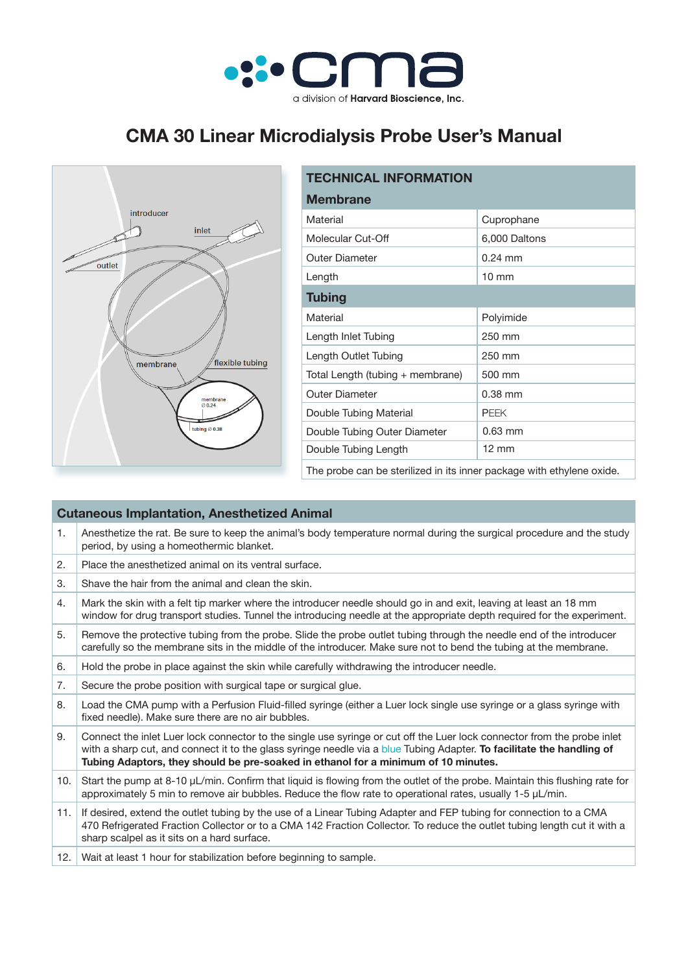

## **CMA 30 Linear Microdialysis Probe User's Manual**



| <b>TECHNICAL INFORMATION</b>                                          |                 |  |  |
|-----------------------------------------------------------------------|-----------------|--|--|
| <b>Membrane</b>                                                       |                 |  |  |
| Material                                                              | Cuprophane      |  |  |
| Molecular Cut-Off                                                     | 6,000 Daltons   |  |  |
| <b>Outer Diameter</b>                                                 | $0.24$ mm       |  |  |
| Length                                                                | $10 \text{ mm}$ |  |  |
| <b>Tubing</b>                                                         |                 |  |  |
| Material                                                              | Polyimide       |  |  |
| Length Inlet Tubing                                                   | 250 mm          |  |  |
| Length Outlet Tubing                                                  | 250 mm          |  |  |
| Total Length (tubing + membrane)                                      | 500 mm          |  |  |
| <b>Outer Diameter</b>                                                 | $0.38$ mm       |  |  |
| Double Tubing Material                                                | <b>PEEK</b>     |  |  |
| Double Tubing Outer Diameter                                          | $0.63$ mm       |  |  |
| Double Tubing Length                                                  | $12 \text{ mm}$ |  |  |
| The probe can be sterilized in its inner package with ethylene oxide. |                 |  |  |

## **Cutaneous Implantation, Anesthetized Animal** 1. Anesthetize the rat. Be sure to keep the animal's body temperature normal during the surgical procedure and the study period, by using a homeothermic blanket. 2. Place the anesthetized animal on its ventral surface.  $3.$  Shave the hair from the animal and clean the skin. 4. Mark the skin with a felt tip marker where the introducer needle should go in and exit, leaving at least an 18 mm window for drug transport studies. Tunnel the introducing needle at the appropriate depth required for the experiment. 5. Remove the protective tubing from the probe. Slide the probe outlet tubing through the needle end of the introducer carefully so the membrane sits in the middle of the introducer. Make sure not to bend the tubing at the membrane. 6. Hold the probe in place against the skin while carefully withdrawing the introducer needle. 7. Secure the probe position with surgical tape or surgical glue. 8. Load the CMA pump with a Perfusion Fluid-filled syringe (either a Luer lock single use syringe or a glass syringe with fixed needle). Make sure there are no air bubbles. 9. Connect the inlet Luer lock connector to the single use syringe or cut off the Luer lock connector from the probe inlet with a sharp cut, and connect it to the glass syringe needle via a blue Tubing Adapter. **To facilitate the handling of Tubing Adaptors, they should be pre-soaked in ethanol for a minimum of 10 minutes.** 10. Start the pump at 8-10 µL/min. Confirm that liquid is flowing from the outlet of the probe. Maintain this flushing rate for approximately 5 min to remove air bubbles. Reduce the flow rate to operational rates, usually 1-5 uL/min. 11. If desired, extend the outlet tubing by the use of a Linear Tubing Adapter and FEP tubing for connection to a CMA 470 Refrigerated Fraction Collector or to a CMA 142 Fraction Collector. To reduce the outlet tubing length cut it with a sharp scalpel as it sits on a hard surface. 12. Wait at least 1 hour for stabilization before beginning to sample.